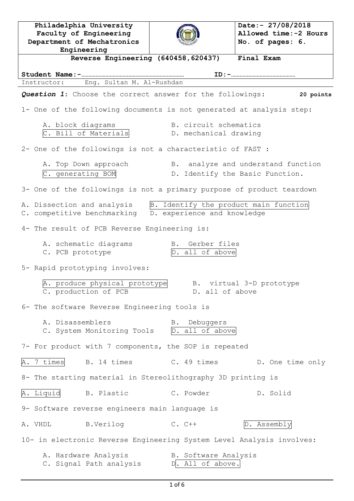**Philadelphia University Faculty of Engineering Department of Mechatronics Engineering Date:- 27/08/2018 Allowed time:-2 Hours No. of pages: 6. Reverse Engineering (640458,620437) Final Exam Student Name:-……………………………………………………………… ID:-………………………………………** Instructor: Eng. Sultan M. Al-Rushdan *Question 1*: Choose the correct answer for the followings: **20 points** 1- One of the following documents is not generated at analysis step: A. block diagrams T. B. circuit schematics C. Bill of Materials **D.** mechanical drawing 2- One of the followings is not a characteristic of FAST : A. Top Down approach B. analyze and understand function C. generating BOM D. Identify the Basic Function. 3- One of the followings is not a primary purpose of product teardown A. Dissection and analysis B. Identify the product main function C. competitive benchmarking D. experience and knowledge 4- The result of PCB Reverse Engineering is: A. schematic diagrams B. Gerber files C. PCB prototype  $[D. all of above]$ 5- Rapid prototyping involves: A. produce physical prototype B. virtual 3-D prototype C. production of PCB D. all of above 6- The software Reverse Engineering tools is A. Disassemblers B. Debuggers C. System Monitoring Tools D. all of above 7- For product with 7 components, the SOP is repeated A. 7 times B. 14 times C. 49 times D. One time only 8- The starting material in Stereolithography 3D printing is A. Liquid B. Plastic C. Powder D. Solid 9- Software reverse engineers main language is A. VHDL B.Verilog C. C++ D. Assembly 10- in electronic Reverse Engineering System Level Analysis involves: A. Hardware Analysis B. Software Analysis C. Signal Path analysis D. All of above.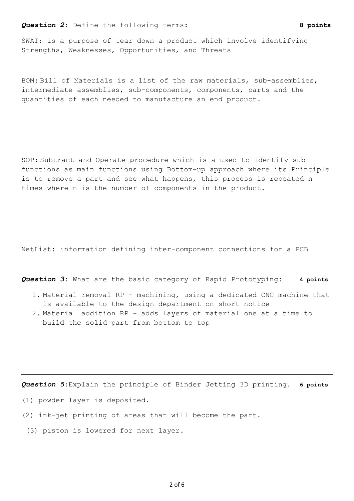## *Question 2*: Define the following terms: **8 points**

SWAT: is a purpose of tear down a product which involve identifying Strengths, Weaknesses, Opportunities, and Threats

BOM: Bill of Materials is a list of the raw materials, sub-assemblies, intermediate assemblies, sub-components, components, parts and the quantities of each needed to manufacture an end product.

SOP: Subtract and Operate procedure which is a used to identify subfunctions as main functions using Bottom-up approach where its Principle is to remove a part and see what happens, this process is repeated n times where n is the number of components in the product.

NetList: information defining inter-component connections for a PCB

*Question 3*: What are the basic category of Rapid Prototyping: **4 points**

- 1. Material removal RP machining, using a dedicated CNC machine that is available to the design department on short notice
- 2. Material addition RP adds layers of material one at a time to build the solid part from bottom to top

*Question 5*:Explain the principle of Binder Jetting 3D printing. **6 points**

- (1) powder layer is deposited.
- (2) ink-jet printing of areas that will become the part.
- (3) piston is lowered for next layer.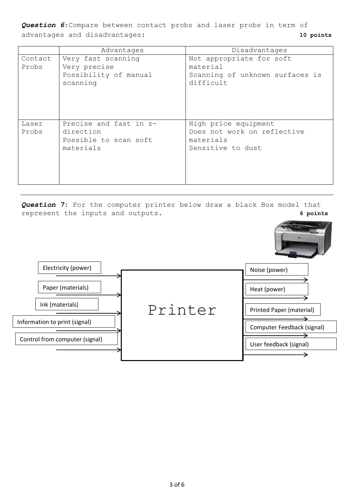*Question 6*:Compare between contact probs and laser probs in term of advantages and disadvantages: **10 points**

|                  | Advantages                                                                | Disadvantages                                                                         |  |
|------------------|---------------------------------------------------------------------------|---------------------------------------------------------------------------------------|--|
| Contact<br>Probs | Very fast scanning<br>Very precise<br>Possibility of manual<br>scanning   | Not appropriate for soft<br>material<br>Scanning of unknown surfaces is<br>difficult  |  |
| Laser<br>Probs   | Precise and fast in z-<br>direction<br>Possible to scan soft<br>materials | High price equipment<br>Does not work on reflective<br>materials<br>Sensitive to dust |  |

*Question 7*: For the computer printer below draw a black Box model that represent the inputs and outputs. **6 points**

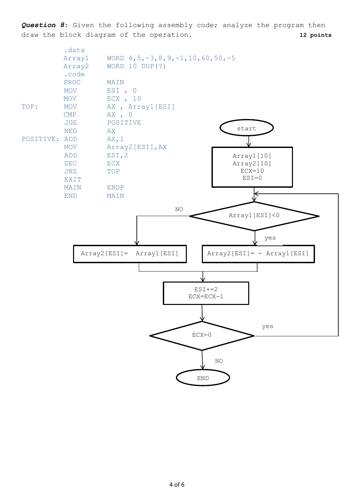*Question 8*: Given the following assembly code; analyze the program then draw the block diagram of the operation. **12 points**

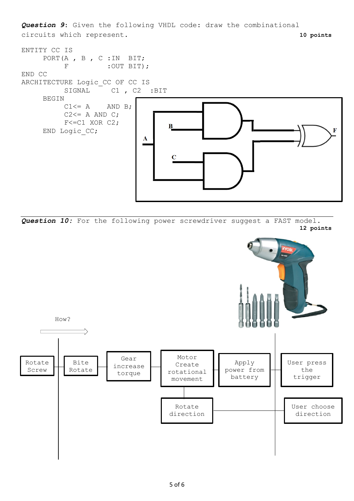*Question 9*: Given the following VHDL code: draw the combinational circuits which represent. **10 points**



*Question 10:* For the following power screwdriver suggest a FAST model. **12 points**